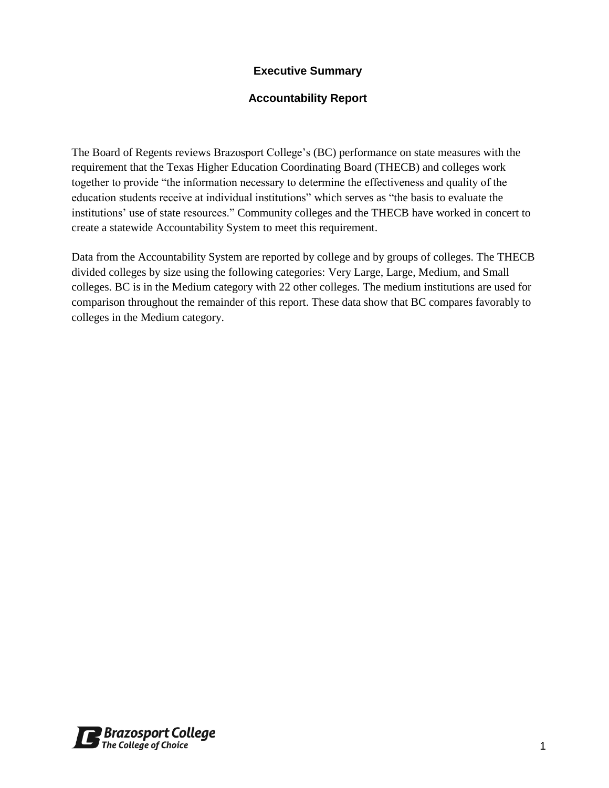### **Executive Summary**

### **Accountability Report**

The Board of Regents reviews Brazosport College's (BC) performance on state measures with the requirement that the Texas Higher Education Coordinating Board (THECB) and colleges work together to provide "the information necessary to determine the effectiveness and quality of the education students receive at individual institutions" which serves as "the basis to evaluate the institutions' use of state resources." Community colleges and the THECB have worked in concert to create a statewide Accountability System to meet this requirement.

Data from the Accountability System are reported by college and by groups of colleges. The THECB divided colleges by size using the following categories: Very Large, Large, Medium, and Small colleges. BC is in the Medium category with 22 other colleges. The medium institutions are used for comparison throughout the remainder of this report. These data show that BC compares favorably to colleges in the Medium category.

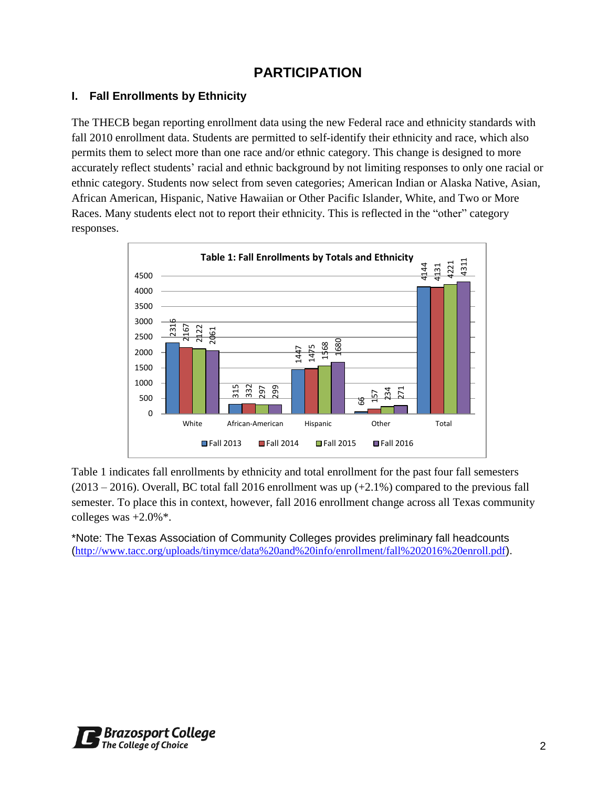# **PARTICIPATION**

### **I. Fall Enrollments by Ethnicity**

The THECB began reporting enrollment data using the new Federal race and ethnicity standards with fall 2010 enrollment data. Students are permitted to self-identify their ethnicity and race, which also permits them to select more than one race and/or ethnic category. This change is designed to more accurately reflect students' racial and ethnic background by not limiting responses to only one racial or ethnic category. Students now select from seven categories; American Indian or Alaska Native, Asian, African American, Hispanic, Native Hawaiian or Other Pacific Islander, White, and Two or More Races. Many students elect not to report their ethnicity. This is reflected in the "other" category responses.



Table 1 indicates fall enrollments by ethnicity and total enrollment for the past four fall semesters  $(2013 - 2016)$ . Overall, BC total fall 2016 enrollment was up  $(+2.1\%)$  compared to the previous fall semester. To place this in context, however, fall 2016 enrollment change across all Texas community colleges was  $+2.0\%$ <sup>\*</sup>.

\*Note: The Texas Association of Community Colleges provides preliminary fall headcounts

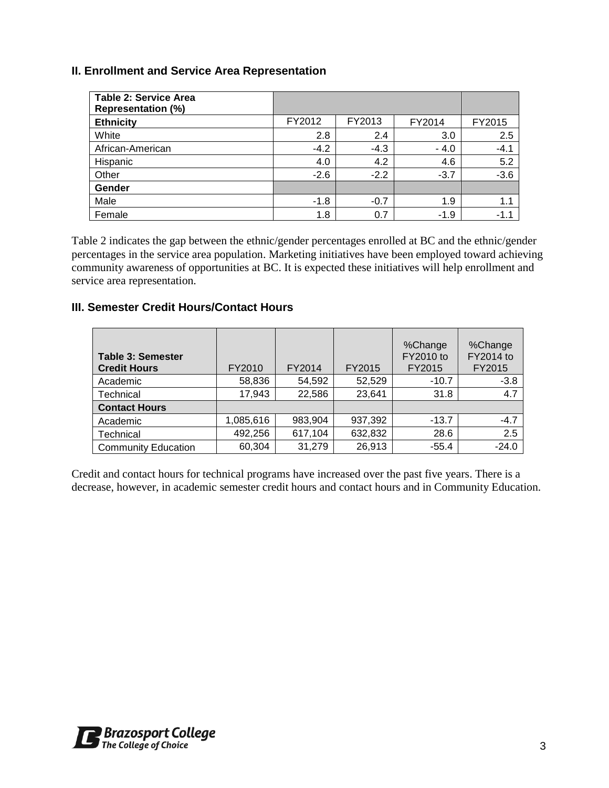### **II. Enrollment and Service Area Representation**

| <b>Table 2: Service Area</b><br><b>Representation (%)</b> |        |        |        |        |
|-----------------------------------------------------------|--------|--------|--------|--------|
| <b>Ethnicity</b>                                          | FY2012 | FY2013 | FY2014 | FY2015 |
| White                                                     | 2.8    | 2.4    | 3.0    | 2.5    |
| African-American                                          | $-4.2$ | $-4.3$ | $-4.0$ | $-4.1$ |
| Hispanic                                                  | 4.0    | 4.2    | 4.6    | 5.2    |
| Other                                                     | $-2.6$ | $-2.2$ | $-3.7$ | $-3.6$ |
| Gender                                                    |        |        |        |        |
| Male                                                      | $-1.8$ | $-0.7$ | 1.9    | 1.1    |
| Female                                                    | 1.8    | 0.7    | $-1.9$ | $-1.1$ |

Table 2 indicates the gap between the ethnic/gender percentages enrolled at BC and the ethnic/gender percentages in the service area population. Marketing initiatives have been employed toward achieving community awareness of opportunities at BC. It is expected these initiatives will help enrollment and service area representation.

### **III. Semester Credit Hours/Contact Hours**

| <b>Table 3: Semester</b><br><b>Credit Hours</b> | FY2010    | FY2014  | FY2015  | %Change<br>FY2010 to<br>FY2015 | %Change<br>FY2014 to<br>FY2015 |
|-------------------------------------------------|-----------|---------|---------|--------------------------------|--------------------------------|
| Academic                                        | 58,836    | 54,592  | 52,529  | $-10.7$                        | $-3.8$                         |
| Technical                                       | 17,943    | 22,586  | 23,641  | 31.8                           | 4.7                            |
| <b>Contact Hours</b>                            |           |         |         |                                |                                |
| Academic                                        | 1,085,616 | 983,904 | 937,392 | $-13.7$                        | $-4.7$                         |
| Technical                                       | 492,256   | 617,104 | 632,832 | 28.6                           | 2.5                            |
| <b>Community Education</b>                      | 60,304    | 31,279  | 26,913  | $-55.4$                        | $-24.0$                        |

Credit and contact hours for technical programs have increased over the past five years. There is a decrease, however, in academic semester credit hours and contact hours and in Community Education.

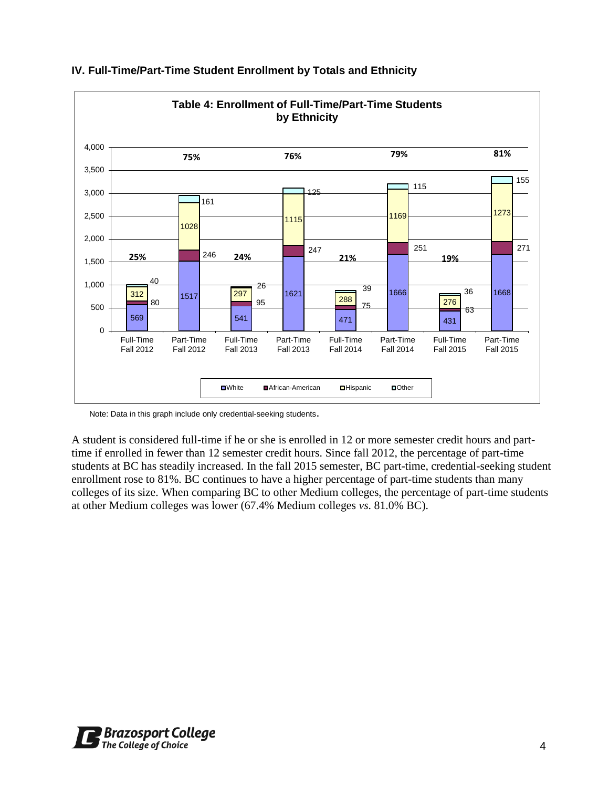

### **IV. Full-Time/Part-Time Student Enrollment by Totals and Ethnicity**

Note: Data in this graph include only credential-seeking students.

A student is considered full-time if he or she is enrolled in 12 or more semester credit hours and parttime if enrolled in fewer than 12 semester credit hours. Since fall 2012, the percentage of part-time students at BC has steadily increased. In the fall 2015 semester, BC part-time, credential-seeking student enrollment rose to 81%. BC continues to have a higher percentage of part-time students than many colleges of its size. When comparing BC to other Medium colleges, the percentage of part-time students at other Medium colleges was lower (67.4% Medium colleges *vs*. 81.0% BC).

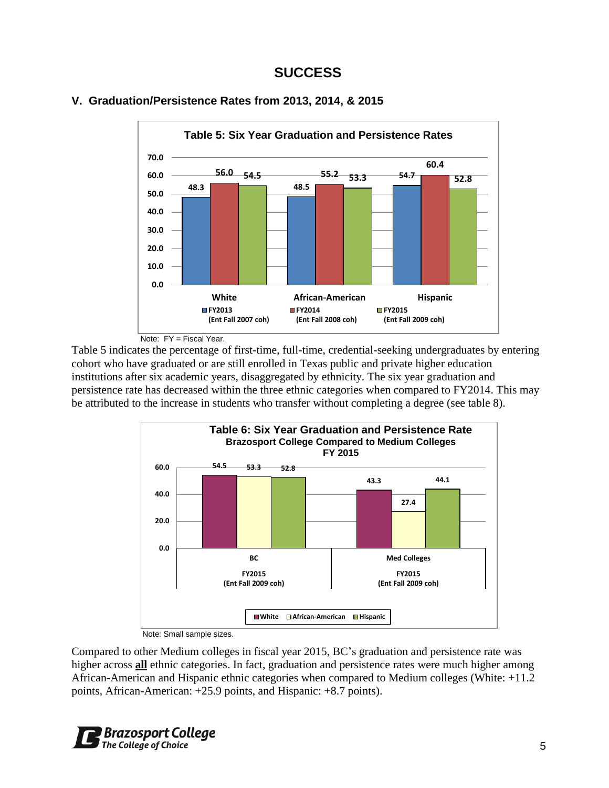### **SUCCESS**





Note: FY = Fiscal Year.

Table 5 indicates the percentage of first-time, full-time, credential-seeking undergraduates by entering cohort who have graduated or are still enrolled in Texas public and private higher education institutions after six academic years, disaggregated by ethnicity. The six year graduation and persistence rate has decreased within the three ethnic categories when compared to FY2014. This may be attributed to the increase in students who transfer without completing a degree (see table 8).



Note: Small sample sizes.

Compared to other Medium colleges in fiscal year 2015, BC's graduation and persistence rate was higher across **all** ethnic categories. In fact, graduation and persistence rates were much higher among African-American and Hispanic ethnic categories when compared to Medium colleges (White: +11.2 points, African-American: +25.9 points, and Hispanic: +8.7 points).

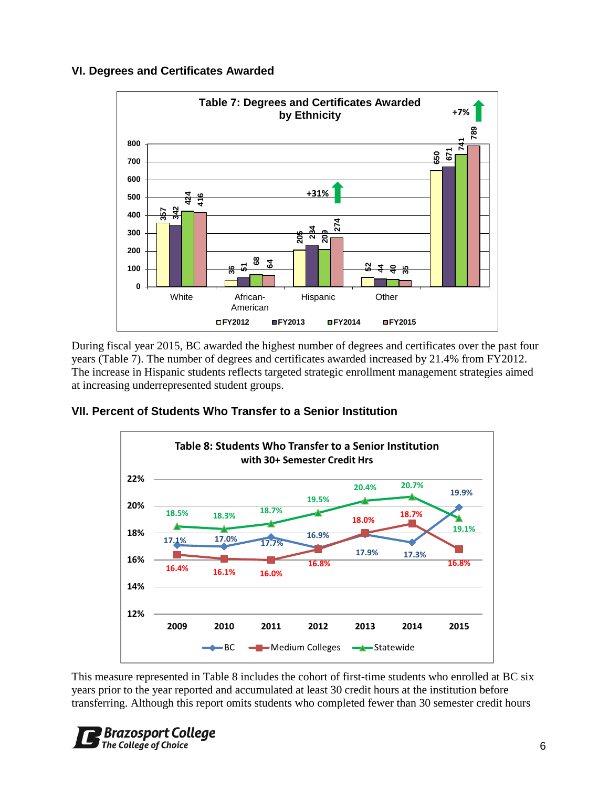### **VI. Degrees and Certificates Awarded**



During fiscal year 2015, BC awarded the highest number of degrees and certificates over the past four years (Table 7). The number of degrees and certificates awarded increased by 21.4% from FY2012. The increase in Hispanic students reflects targeted strategic enrollment management strategies aimed at increasing underrepresented student groups.

### **VII. Percent of Students Who Transfer to a Senior Institution**



This measure represented in Table 8 includes the cohort of first-time students who enrolled at BC six years prior to the year reported and accumulated at least 30 credit hours at the institution before

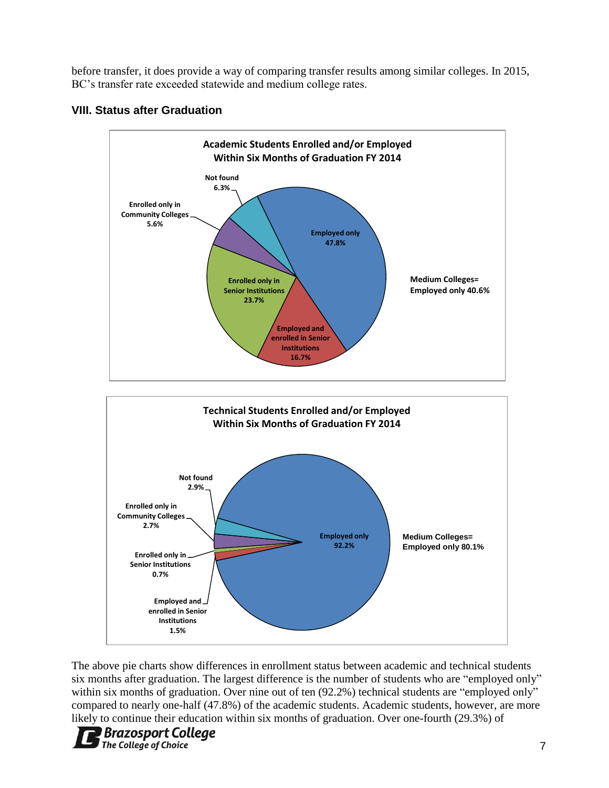before transfer, it does provide a way of comparing transfer results among similar colleges. In 2015, BC's transfer rate exceeded statewide and medium college rates.





The above pie charts show differences in enrollment status between academic and technical students six months after graduation. The largest difference is the number of students who are "employed only" within six months of graduation. Over nine out of ten (92.2%) technical students are "employed only" compared to nearly one-half (47.8%) of the academic students. Academic students, however, are more likely to continue their education within six months of graduation. Over one-fourth (29.3%) of

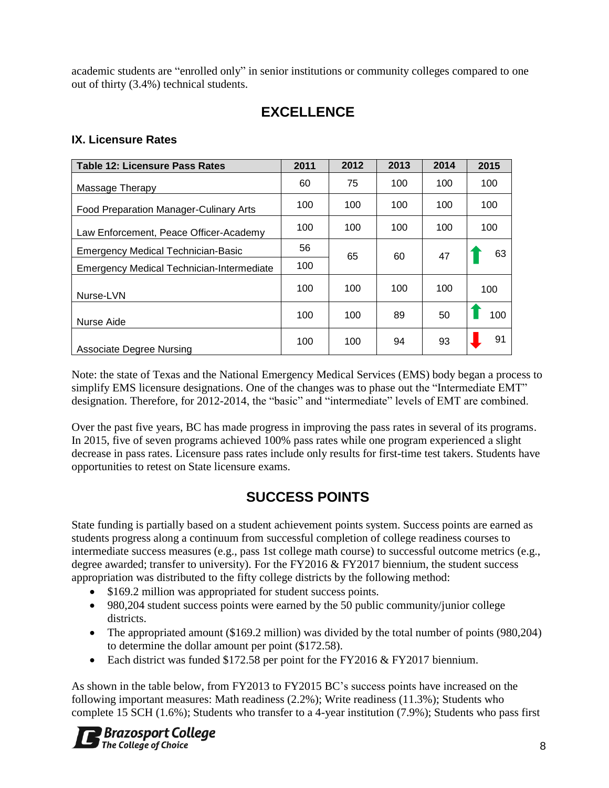academic students are "enrolled only" in senior institutions or community colleges compared to one out of thirty (3.4%) technical students.

## **EXCELLENCE**

### **IX. Licensure Rates**

| <b>Table 12: Licensure Pass Rates</b>     | 2011 | 2012 | 2013 | 2014 | 2015 |
|-------------------------------------------|------|------|------|------|------|
| Massage Therapy                           | 60   | 75   | 100  | 100  | 100  |
| Food Preparation Manager-Culinary Arts    | 100  | 100  | 100  | 100  | 100  |
| Law Enforcement, Peace Officer-Academy    | 100  | 100  | 100  | 100  | 100  |
| <b>Emergency Medical Technician-Basic</b> | 56   | 65   | 60   | 47   | 63   |
| Emergency Medical Technician-Intermediate | 100  |      |      |      |      |
| Nurse-LVN                                 | 100  | 100  | 100  | 100  | 100  |
| Nurse Aide                                | 100  | 100  | 89   | 50   | 100  |
| Associate Degree Nursing                  | 100  | 100  | 94   | 93   | 91   |

Note: the state of Texas and the National Emergency Medical Services (EMS) body began a process to simplify EMS licensure designations. One of the changes was to phase out the "Intermediate EMT" designation. Therefore, for 2012-2014, the "basic" and "intermediate" levels of EMT are combined.

Over the past five years, BC has made progress in improving the pass rates in several of its programs. In 2015, five of seven programs achieved 100% pass rates while one program experienced a slight decrease in pass rates. Licensure pass rates include only results for first-time test takers. Students have opportunities to retest on State licensure exams.

# **SUCCESS POINTS**

State funding is partially based on a student achievement points system. Success points are earned as students progress along a continuum from successful completion of college readiness courses to intermediate success measures (e.g., pass 1st college math course) to successful outcome metrics (e.g., degree awarded; transfer to university). For the FY2016 & FY2017 biennium, the student success appropriation was distributed to the fifty college districts by the following method:

- \$169.2 million was appropriated for student success points.
- 980,204 student success points were earned by the 50 public community/junior college districts.
- The appropriated amount (\$169.2 million) was divided by the total number of points (980,204) to determine the dollar amount per point (\$172.58).
- Each district was funded \$172.58 per point for the FY2016 & FY2017 biennium.

As shown in the table below, from FY2013 to FY2015 BC's success points have increased on the following important measures: Math readiness (2.2%); Write readiness (11.3%); Students who complete 15 SCH (1.6%); Students who transfer to a 4-year institution (7.9%); Students who pass first